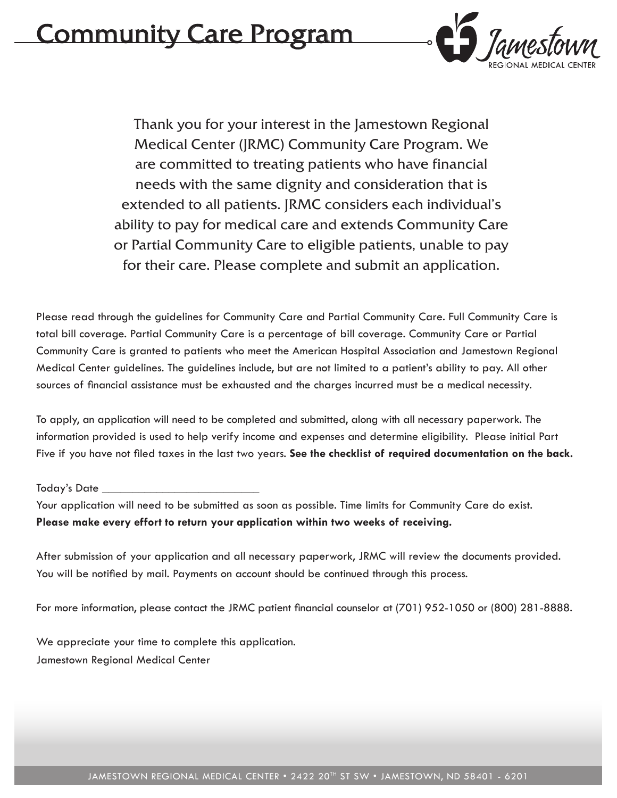# Community Care Program



Thank you for your interest in the Jamestown Regional Medical Center (JRMC) Community Care Program. We are committed to treating patients who have financial needs with the same dignity and consideration that is extended to all patients. JRMC considers each individual's ability to pay for medical care and extends Community Care or Partial Community Care to eligible patients, unable to pay for their care. Please complete and submit an application.

Please read through the guidelines for Community Care and Partial Community Care. Full Community Care is total bill coverage. Partial Community Care is a percentage of bill coverage. Community Care or Partial Community Care is granted to patients who meet the American Hospital Association and Jamestown Regional Medical Center guidelines. The guidelines include, but are not limited to a patient's ability to pay. All other sources of financial assistance must be exhausted and the charges incurred must be a medical necessity.

To apply, an application will need to be completed and submitted, along with all necessary paperwork. The information provided is used to help verify income and expenses and determine eligibility. Please initial Part Five if you have not filed taxes in the last two years. **See the checklist of required documentation on the back.** 

#### Today's Date  $\_$

Your application will need to be submitted as soon as possible. Time limits for Community Care do exist. **Please make every effort to return your application within two weeks of receiving.** 

After submission of your application and all necessary paperwork, JRMC will review the documents provided. You will be notified by mail. Payments on account should be continued through this process.

For more information, please contact the JRMC patient financial counselor at (701) 952-1050 or (800) 281-8888.

We appreciate your time to complete this application. Jamestown Regional Medical Center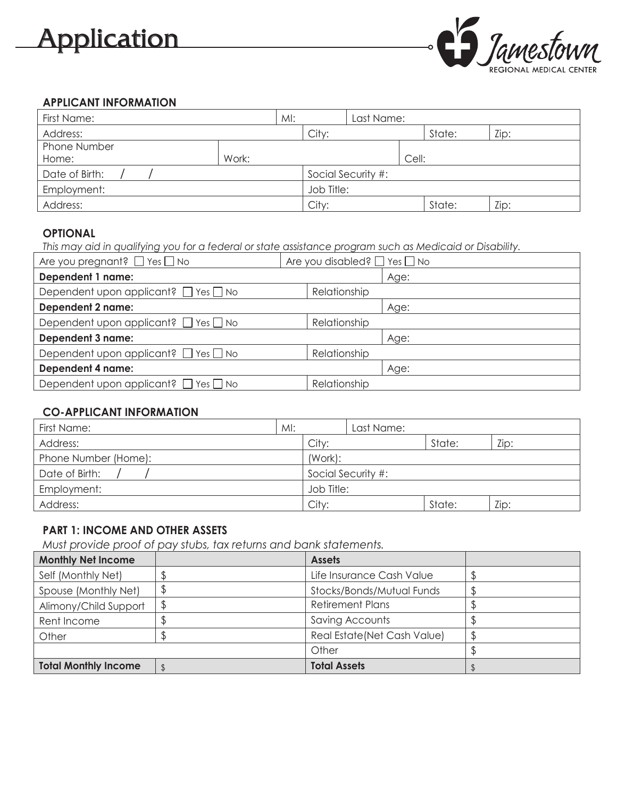# Application



## **APPLICANT INFORMATION**

| First Name:    | MI:   | Last Name: |                    |       |        |      |
|----------------|-------|------------|--------------------|-------|--------|------|
| Address:       |       | City:      |                    |       | State: | Zip: |
| Phone Number   |       |            |                    |       |        |      |
| Home:          | Work: |            |                    | Cell: |        |      |
| Date of Birth: |       |            | Social Security #: |       |        |      |
| Employment:    |       | Job Title: |                    |       |        |      |
| Address:       |       | City:      |                    |       | State: | Zip: |

## **OPTIONAL**

*This may aid in qualifying you for a federal or state assistance program such as Medicaid or Disability.*

| Are you pregnant? $\Box$ Yes $\Box$ No         | Are you disabled? $\Box$ Yes $\Box$ No |      |
|------------------------------------------------|----------------------------------------|------|
| Dependent 1 name:                              |                                        | Age: |
| Dependent upon applicant? $\Box$ Yes $\Box$ No | Relationship                           |      |
| <b>Dependent 2 name:</b>                       |                                        | Age: |
| Dependent upon applicant? $\Box$ Yes $\Box$ No | Relationship                           |      |
| <b>Dependent 3 name:</b>                       |                                        | Age: |
| Dependent upon applicant? $\Box$ Yes $\Box$ No | Relationship                           |      |
| <b>Dependent 4 name:</b>                       |                                        | Age: |
| Dependent upon applicant? $\Box$ Yes $\Box$ No | Relationship                           |      |
|                                                |                                        |      |

## **CO-APPLICANT INFORMATION**

| First Name:          | MI: |                    | Last Name: |        |      |
|----------------------|-----|--------------------|------------|--------|------|
| Address:             |     | City:              |            | State: | Zip: |
| Phone Number (Home): |     | (Work):            |            |        |      |
| Date of Birth:       |     | Social Security #: |            |        |      |
| Employment:          |     | Job Title:         |            |        |      |
| Address:             |     | City:              |            | State: | Zip: |

## **PART 1: INCOME AND OTHER ASSETS**

*Must provide proof of pay stubs, tax returns and bank statements.*

| <b>Monthly Net Income</b>   | <b>Assets</b>                |    |
|-----------------------------|------------------------------|----|
| Self (Monthly Net)          | Life Insurance Cash Value    |    |
| Spouse (Monthly Net)        | Stocks/Bonds/Mutual Funds    |    |
| Alimony/Child Support       | <b>Retirement Plans</b>      |    |
| Rent Income                 | Saving Accounts              |    |
| Other                       | Real Estate (Net Cash Value) | ل- |
|                             | Other                        |    |
| <b>Total Monthly Income</b> | <b>Total Assets</b>          |    |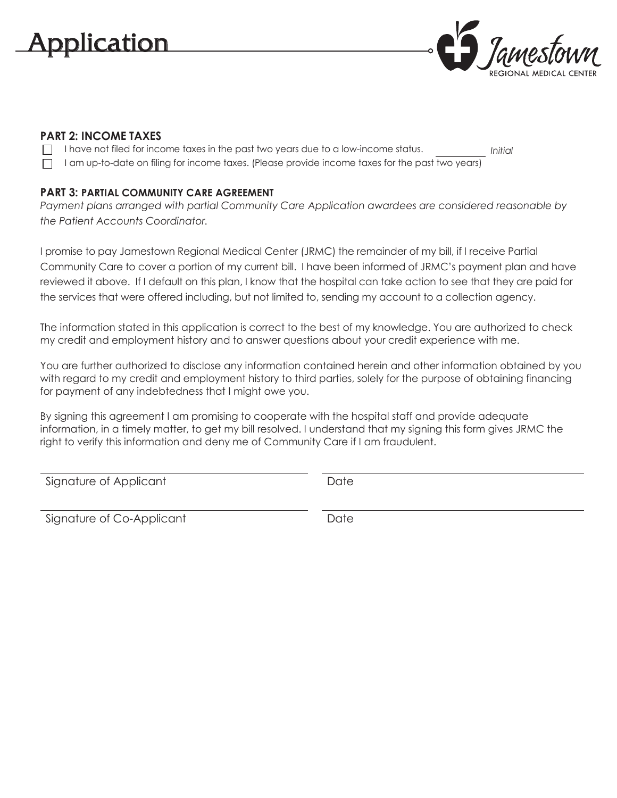

### **PART 2: INCOME TAXES**

- I have not filed for income taxes in the past two years due to a low-income status. *Initial*
- $\Box$  I am up-to-date on filing for income taxes. (Please provide income taxes for the past two years)

### **PART 3: PARTIAL COMMUNITY CARE AGREEMENT**

*Payment plans arranged with partial Community Care Application awardees are considered reasonable by the Patient Accounts Coordinator.*

I promise to pay Jamestown Regional Medical Center (JRMC) the remainder of my bill, if I receive Partial Community Care to cover a portion of my current bill. I have been informed of JRMC's payment plan and have reviewed it above. If I default on this plan, I know that the hospital can take action to see that they are paid for the services that were offered including, but not limited to, sending my account to a collection agency.

The information stated in this application is correct to the best of my knowledge. You are authorized to check my credit and employment history and to answer questions about your credit experience with me.

You are further authorized to disclose any information contained herein and other information obtained by you with regard to my credit and employment history to third parties, solely for the purpose of obtaining financing for payment of any indebtedness that I might owe you.

By signing this agreement I am promising to cooperate with the hospital staff and provide adequate information, in a timely matter, to get my bill resolved. I understand that my signing this form gives JRMC the right to verify this information and deny me of Community Care if I am fraudulent.

Signature of Applicant Date Date

Signature of Co-Applicant The Contemporary Date